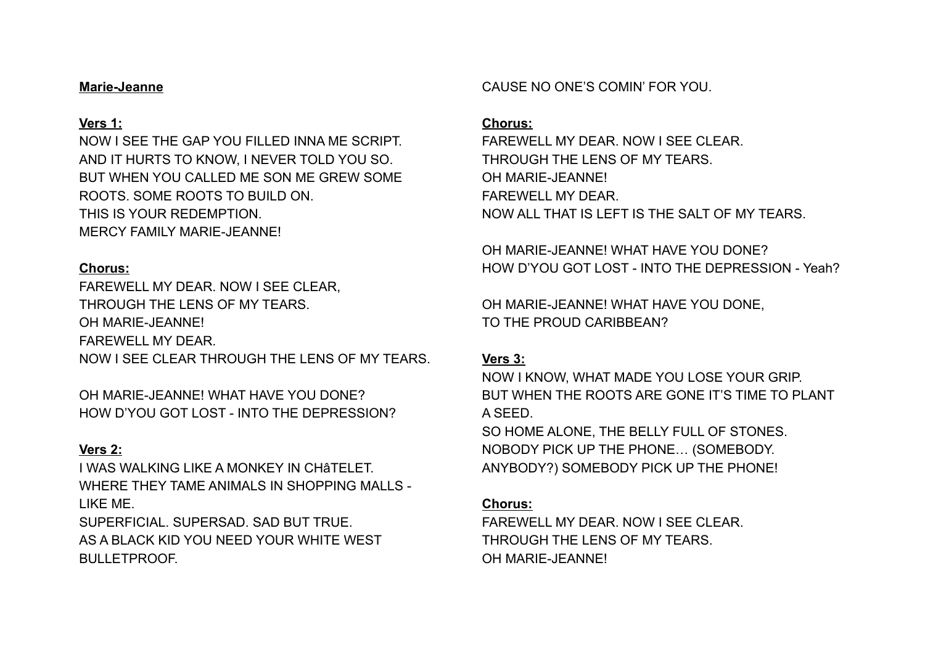#### **Marie-Jeanne**

### **Vers 1:**

NOW I SEE THE GAP YOU FILLED INNA ME SCRIPT. AND IT HURTS TO KNOW, I NEVER TOLD YOU SO. BUT WHEN YOU CALLED ME SON ME GREW SOME ROOTS. SOME ROOTS TO BUILD ON. THIS IS YOUR REDEMPTION. MERCY FAMILY MARIE-JEANNE!

### **Chorus:**

FAREWELL MY DEAR. NOW I SEE CLEAR, THROUGH THE LENS OF MY TEARS. OH MARIE-JEANNE! FAREWELL MY DEAR. NOW I SEE CLEAR THROUGH THE LENS OF MY TEARS.

OH MARIE-JEANNE! WHAT HAVE YOU DONE? HOW D'YOU GOT LOST - INTO THE DEPRESSION?

# **Vers 2:**

I WAS WALKING LIKE A MONKEY IN CHâTELET. WHERE THEY TAME ANIMALS IN SHOPPING MALLS - LIKE ME.

SUPERFICIAL. SUPERSAD. SAD BUT TRUE. AS A BLACK KID YOU NEED YOUR WHITE WEST BULLETPROOF.

CAUSE NO ONE'S COMIN' FOR YOU.

### **Chorus:**

FAREWELL MY DEAR. NOW LSEE CLEAR. THROUGH THE LENS OF MY TEARS. OH MARIE-JEANNE! FAREWELL MY DEAR. NOW ALL THAT IS LEFT IS THE SALT OF MY TEARS.

OH MARIE-JEANNE! WHAT HAVE YOU DONE? HOW D'YOU GOT LOST - INTO THE DEPRESSION - Yeah?

OH MARIE-JEANNE! WHAT HAVE YOU DONE, TO THE PROUD CARIBBEAN?

# **Vers 3:**

NOW I KNOW, WHAT MADE YOU LOSE YOUR GRIP. BUT WHEN THE ROOTS ARE GONE IT'S TIME TO PLANT A SEED. SO HOME ALONE, THE BELLY FULL OF STONES.

NOBODY PICK UP THE PHONE… (SOMEBODY. ANYBODY?) SOMEBODY PICK UP THE PHONE!

#### **Chorus:**

FAREWELL MY DEAR. NOW I SEE CLEAR. THROUGH THE LENS OF MY TEARS. OH MARIE-JEANNE!